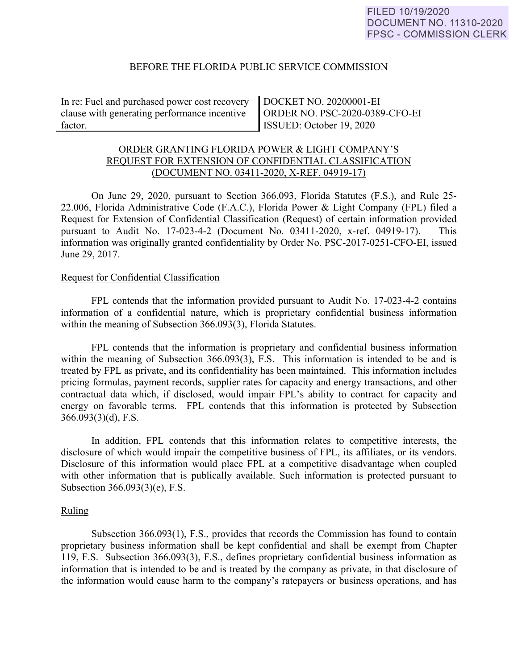## BEFORE THE FLORIDA PUBLIC SERVICE COMMISSION

In re: Fuel and purchased power cost recovery clause with generating performance incentive factor.

DOCKET NO. 20200001-EI ORDER NO. PSC-2020-0389-CFO-EI ISSUED: October 19, 2020

# ORDER GRANTING FLORIDA POWER & LIGHT COMPANY'S REQUEST FOR EXTENSION OF CONFIDENTIAL CLASSIFICATION (DOCUMENT NO. 03411-2020, X-REF. 04919-17)

On June 29, 2020, pursuant to Section 366.093, Florida Statutes (F.S.), and Rule 25- 22.006, Florida Administrative Code (F.A.C.), Florida Power & Light Company (FPL) filed a Request for Extension of Confidential Classification (Request) of certain information provided pursuant to Audit No. 17-023-4-2 (Document No. 03411-2020, x-ref. 04919-17). This information was originally granted confidentiality by Order No. PSC-2017-0251-CFO-EI, issued June 29, 2017.

## Request for Confidential Classification

 FPL contends that the information provided pursuant to Audit No. 17-023-4-2 contains information of a confidential nature, which is proprietary confidential business information within the meaning of Subsection 366.093(3), Florida Statutes.

FPL contends that the information is proprietary and confidential business information within the meaning of Subsection 366.093(3), F.S. This information is intended to be and is treated by FPL as private, and its confidentiality has been maintained. This information includes pricing formulas, payment records, supplier rates for capacity and energy transactions, and other contractual data which, if disclosed, would impair FPL's ability to contract for capacity and energy on favorable terms. FPL contends that this information is protected by Subsection 366.093(3)(d), F.S.

In addition, FPL contends that this information relates to competitive interests, the disclosure of which would impair the competitive business of FPL, its affiliates, or its vendors. Disclosure of this information would place FPL at a competitive disadvantage when coupled with other information that is publically available. Such information is protected pursuant to Subsection 366.093(3)(e), F.S.

#### Ruling

Subsection 366.093(1), F.S., provides that records the Commission has found to contain proprietary business information shall be kept confidential and shall be exempt from Chapter 119, F.S. Subsection 366.093(3), F.S., defines proprietary confidential business information as information that is intended to be and is treated by the company as private, in that disclosure of the information would cause harm to the company's ratepayers or business operations, and has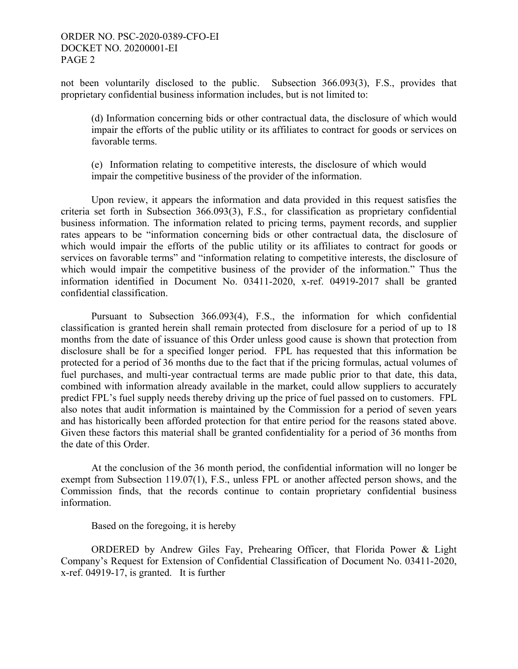# ORDER NO. PSC-2020-0389-CFO-EI DOCKET NO. 20200001-EI PAGE 2

not been voluntarily disclosed to the public. Subsection 366.093(3), F.S., provides that proprietary confidential business information includes, but is not limited to:

(d) Information concerning bids or other contractual data, the disclosure of which would impair the efforts of the public utility or its affiliates to contract for goods or services on favorable terms.

(e) Information relating to competitive interests, the disclosure of which would impair the competitive business of the provider of the information.

Upon review, it appears the information and data provided in this request satisfies the criteria set forth in Subsection 366.093(3), F.S., for classification as proprietary confidential business information. The information related to pricing terms, payment records, and supplier rates appears to be "information concerning bids or other contractual data, the disclosure of which would impair the efforts of the public utility or its affiliates to contract for goods or services on favorable terms" and "information relating to competitive interests, the disclosure of which would impair the competitive business of the provider of the information." Thus the information identified in Document No. 03411-2020, x-ref. 04919-2017 shall be granted confidential classification.

Pursuant to Subsection 366.093(4), F.S., the information for which confidential classification is granted herein shall remain protected from disclosure for a period of up to 18 months from the date of issuance of this Order unless good cause is shown that protection from disclosure shall be for a specified longer period. FPL has requested that this information be protected for a period of 36 months due to the fact that if the pricing formulas, actual volumes of fuel purchases, and multi-year contractual terms are made public prior to that date, this data, combined with information already available in the market, could allow suppliers to accurately predict FPL's fuel supply needs thereby driving up the price of fuel passed on to customers. FPL also notes that audit information is maintained by the Commission for a period of seven years and has historically been afforded protection for that entire period for the reasons stated above. Given these factors this material shall be granted confidentiality for a period of 36 months from the date of this Order.

At the conclusion of the 36 month period, the confidential information will no longer be exempt from Subsection 119.07(1), F.S., unless FPL or another affected person shows, and the Commission finds, that the records continue to contain proprietary confidential business information.

Based on the foregoing, it is hereby

 ORDERED by Andrew Giles Fay, Prehearing Officer, that Florida Power & Light Company's Request for Extension of Confidential Classification of Document No. 03411-2020, x-ref. 04919-17, is granted. It is further